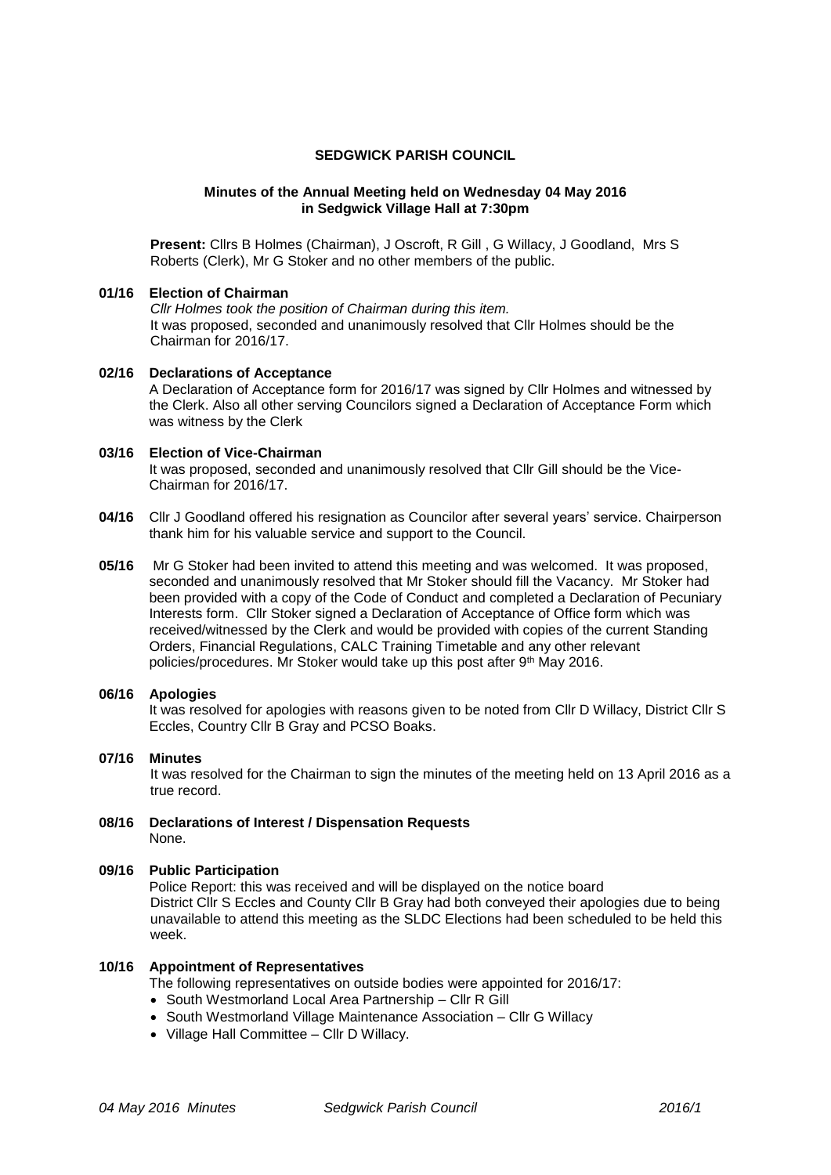### **SEDGWICK PARISH COUNCIL**

#### **Minutes of the Annual Meeting held on Wednesday 04 May 2016 in Sedgwick Village Hall at 7:30pm**

**Present:** Cllrs B Holmes (Chairman), J Oscroft, R Gill , G Willacy, J Goodland, Mrs S Roberts (Clerk), Mr G Stoker and no other members of the public.

## **01/16 Election of Chairman**

*Cllr Holmes took the position of Chairman during this item.* It was proposed, seconded and unanimously resolved that Cllr Holmes should be the Chairman for 2016/17.

**02/16 Declarations of Acceptance** A Declaration of Acceptance form for 2016/17 was signed by Cllr Holmes and witnessed by the Clerk. Also all other serving Councilors signed a Declaration of Acceptance Form which was witness by the Clerk

# **03/16 Election of Vice-Chairman**

It was proposed, seconded and unanimously resolved that Cllr Gill should be the Vice-Chairman for 2016/17.

- **04/16** Cllr J Goodland offered his resignation as Councilor after several years' service. Chairperson thank him for his valuable service and support to the Council.
- **05/16** Mr G Stoker had been invited to attend this meeting and was welcomed. It was proposed, seconded and unanimously resolved that Mr Stoker should fill the Vacancy. Mr Stoker had been provided with a copy of the Code of Conduct and completed a Declaration of Pecuniary Interests form. Cllr Stoker signed a Declaration of Acceptance of Office form which was received/witnessed by the Clerk and would be provided with copies of the current Standing Orders, Financial Regulations, CALC Training Timetable and any other relevant policies/procedures. Mr Stoker would take up this post after 9th May 2016.

## **06/16 Apologies**

It was resolved for apologies with reasons given to be noted from Cllr D Willacy, District Cllr S Eccles, Country Cllr B Gray and PCSO Boaks.

**07/16 Minutes**

It was resolved for the Chairman to sign the minutes of the meeting held on 13 April 2016 as a true record.

**08/16 Declarations of Interest / Dispensation Requests** None.

### **09/16 Public Participation**

Police Report: this was received and will be displayed on the notice board District Cllr S Eccles and County Cllr B Gray had both conveyed their apologies due to being unavailable to attend this meeting as the SLDC Elections had been scheduled to be held this week.

#### **10/16 Appointment of Representatives**

The following representatives on outside bodies were appointed for 2016/17:

- South Westmorland Local Area Partnership Cllr R Gill
- South Westmorland Village Maintenance Association Cllr G Willacy
- Village Hall Committee Cllr D Willacy.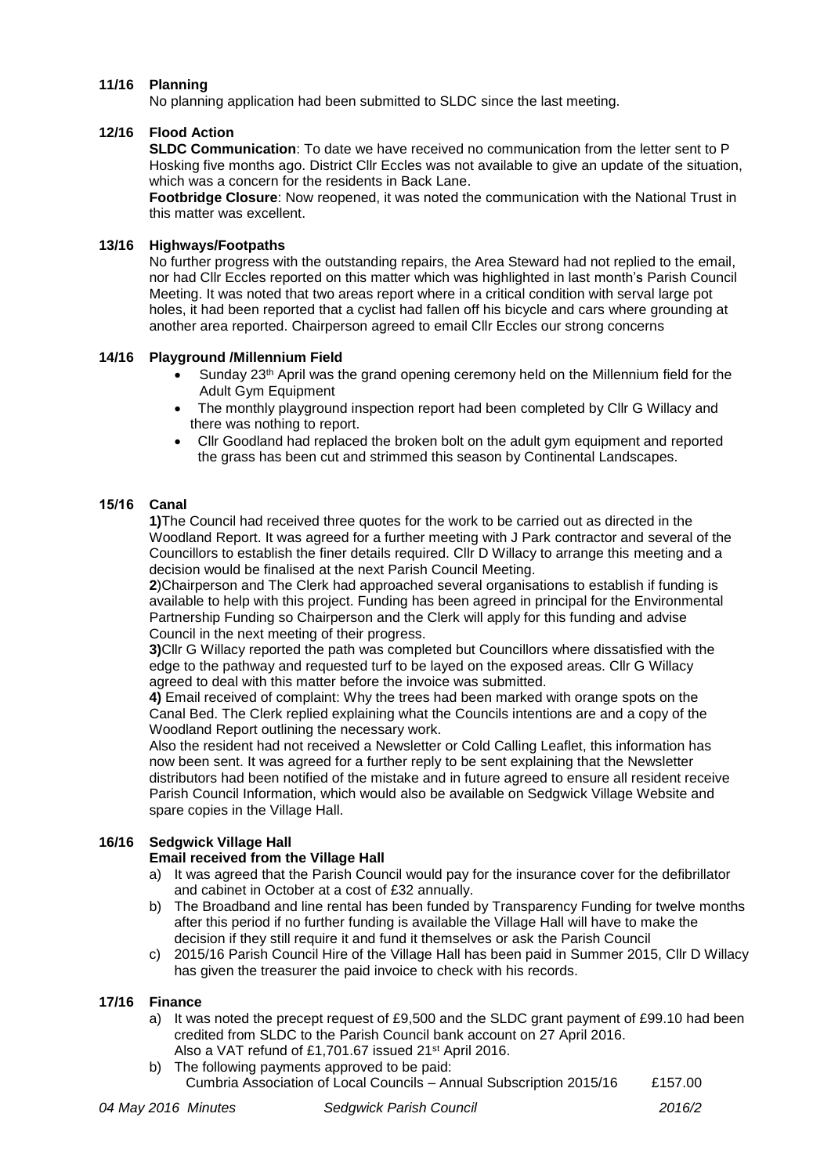## **11/16 Planning**

No planning application had been submitted to SLDC since the last meeting.

#### **12/16 Flood Action**

**SLDC Communication**: To date we have received no communication from the letter sent to P Hosking five months ago. District Cllr Eccles was not available to give an update of the situation, which was a concern for the residents in Back Lane.

**Footbridge Closure**: Now reopened, it was noted the communication with the National Trust in this matter was excellent.

#### **13/16 Highways/Footpaths**

No further progress with the outstanding repairs, the Area Steward had not replied to the email, nor had Cllr Eccles reported on this matter which was highlighted in last month's Parish Council Meeting. It was noted that two areas report where in a critical condition with serval large pot holes, it had been reported that a cyclist had fallen off his bicycle and cars where grounding at another area reported. Chairperson agreed to email Cllr Eccles our strong concerns

### **14/16 Playground /Millennium Field**

- Sunday 23th April was the grand opening ceremony held on the Millennium field for the Adult Gym Equipment
- The monthly playground inspection report had been completed by Cllr G Willacy and there was nothing to report.
- Cllr Goodland had replaced the broken bolt on the adult gym equipment and reported the grass has been cut and strimmed this season by Continental Landscapes.

### **15/16 Canal**

**1)**The Council had received three quotes for the work to be carried out as directed in the Woodland Report. It was agreed for a further meeting with J Park contractor and several of the Councillors to establish the finer details required. Cllr D Willacy to arrange this meeting and a decision would be finalised at the next Parish Council Meeting.

**2**)Chairperson and The Clerk had approached several organisations to establish if funding is available to help with this project. Funding has been agreed in principal for the Environmental Partnership Funding so Chairperson and the Clerk will apply for this funding and advise Council in the next meeting of their progress.

**3)**Cllr G Willacy reported the path was completed but Councillors where dissatisfied with the edge to the pathway and requested turf to be layed on the exposed areas. Cllr G Willacy agreed to deal with this matter before the invoice was submitted.

**4)** Email received of complaint: Why the trees had been marked with orange spots on the Canal Bed. The Clerk replied explaining what the Councils intentions are and a copy of the Woodland Report outlining the necessary work.

Also the resident had not received a Newsletter or Cold Calling Leaflet, this information has now been sent. It was agreed for a further reply to be sent explaining that the Newsletter distributors had been notified of the mistake and in future agreed to ensure all resident receive Parish Council Information, which would also be available on Sedgwick Village Website and spare copies in the Village Hall.

## **16/16 Sedgwick Village Hall**

#### **Email received from the Village Hall**

- a) It was agreed that the Parish Council would pay for the insurance cover for the defibrillator and cabinet in October at a cost of £32 annually.
- b) The Broadband and line rental has been funded by Transparency Funding for twelve months after this period if no further funding is available the Village Hall will have to make the decision if they still require it and fund it themselves or ask the Parish Council
- c) 2015/16 Parish Council Hire of the Village Hall has been paid in Summer 2015, Cllr D Willacy has given the treasurer the paid invoice to check with his records.

#### **17/16 Finance**

- a) It was noted the precept request of £9,500 and the SLDC grant payment of £99.10 had been credited from SLDC to the Parish Council bank account on 27 April 2016. Also a VAT refund of £1,701.67 issued 21<sup>st</sup> April 2016.
- b) The following payments approved to be paid: Cumbria Association of Local Councils – Annual Subscription 2015/16 £157.00